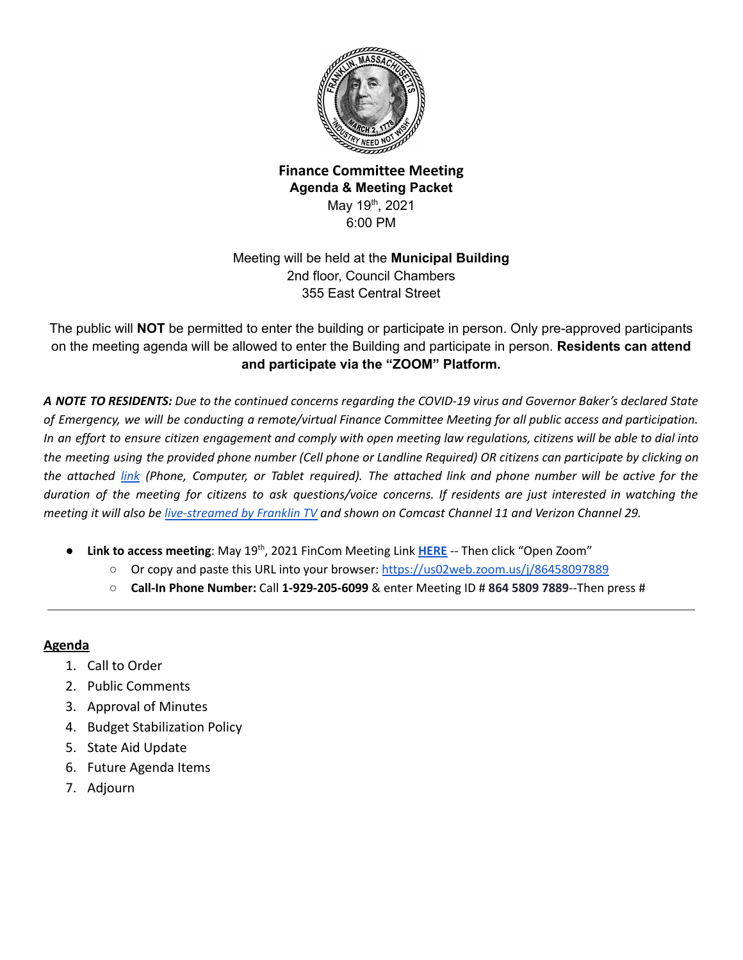

# **Finance Committee Meeting Agenda & Meeting Packet** May 19<sup>th</sup>, 2021 6:00 PM

# Meeting will be held at the **Municipal Building** 2nd floor, Council Chambers 355 East Central Street

The public will **NOT** be permitted to enter the building or participate in person. Only pre-approved participants on the meeting agenda will be allowed to enter the Building and participate in person. **Residents can attend and participate via the "ZOOM" Platform.**

A NOTE TO RESIDENTS: Due to the continued concerns regarding the COVID-19 virus and Governor Baker's declared State of Emergency, we will be conducting a remote/virtual Finance Committee Meeting for all public access and participation. In an effort to ensure citizen engagement and comply with open meeting law regulations, citizens will be able to dial into the meeting using the provided phone number (Cell phone or Landline Required) OR citizens can participate by clicking on the attached [link](https://us02web.zoom.us/j/86458097889) (Phone, Computer, or Tablet required). The attached link and phone number will be active for the duration of the meeting for citizens to ask questions/voice concerns. If residents are just interested in watching the meeting it will also be [live-streamed](https://www.franklinma.gov/home/pages/live-meetings-stream) by Franklin TV and shown on Comcast Channel 11 and Verizon Channel 29.

- **Link to access meeting**: May 19<sup>th</sup>, 2021 FinCom Meeting Link **[HERE](https://us02web.zoom.us/j/86458097889)** -- Then click "Open Zoom"
	- Or copy and paste this URL into your browser: <https://us02web.zoom.us/j/86458097889>
	- **Call-In Phone Number:** Call **1-929-205-6099** & enter Meeting ID # **864 5809 7889**--Then press #

#### **Agenda**

- 1. Call to Order
- 2. Public Comments
- 3. Approval of Minutes
- 4. Budget Stabilization Policy
- 5. State Aid Update
- 6. Future Agenda Items
- 7. Adjourn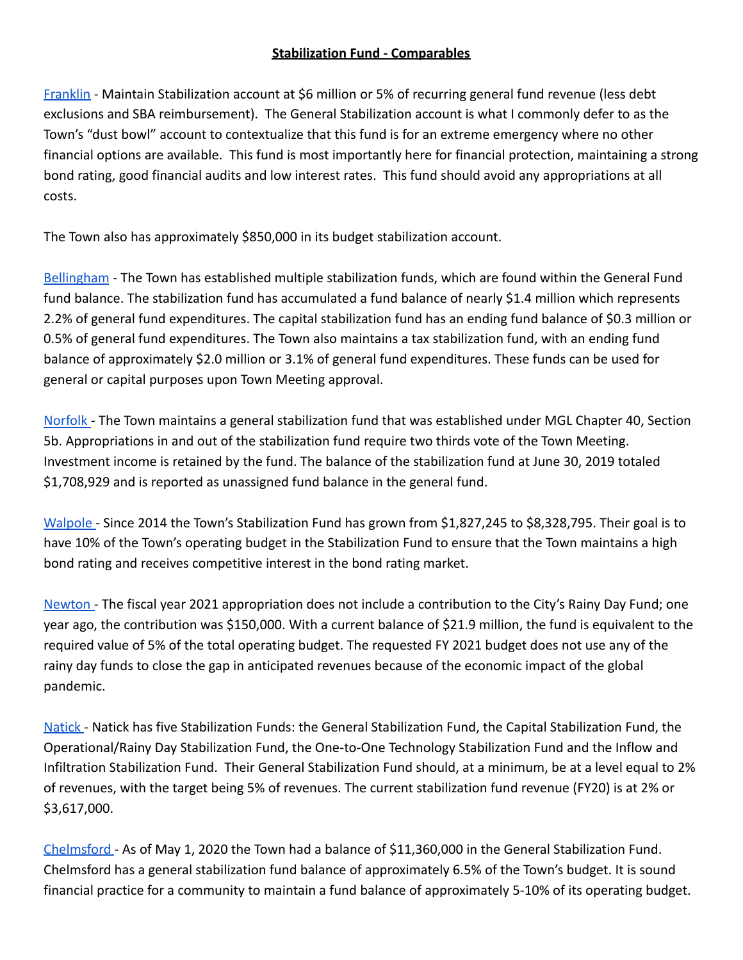## **Stabilization Fund - Comparables**

[Franklin](https://www.franklinma.gov/sites/g/files/vyhlif591/f/uploads/2020-05-27_fy_2021_budget_message_narrative_final.pdf) - Maintain Stabilization account at \$6 million or 5% of recurring general fund revenue (less debt exclusions and SBA reimbursement). The General Stabilization account is what I commonly defer to as the Town's "dust bowl" account to contextualize that this fund is for an extreme emergency where no other financial options are available. This fund is most importantly here for financial protection, maintaining a strong bond rating, good financial audits and low interest rates. This fund should avoid any appropriations at all costs.

The Town also has approximately \$850,000 in its budget stabilization account.

[Bellingham](https://www.bellinghamma.org/sites/g/files/vyhlif2796/f/uploads/town_of_bellingham_report_on_the_examination_of_basic_financial_statements_-_fy_2019.pdf) - The Town has established multiple stabilization funds, which are found within the General Fund fund balance. The stabilization fund has accumulated a fund balance of nearly \$1.4 million which represents 2.2% of general fund expenditures. The capital stabilization fund has an ending fund balance of \$0.3 million or 0.5% of general fund expenditures. The Town also maintains a tax stabilization fund, with an ending fund balance of approximately \$2.0 million or 3.1% of general fund expenditures. These funds can be used for general or capital purposes upon Town Meeting approval.

[Norfolk](https://norfolk.ma.us/assets/files/departments/finance/financial-statement/town-of-norfolk-fy-19-financial-statements.pdf) - The Town maintains a general stabilization fund that was established under MGL Chapter 40, Section 5b. Appropriations in and out of the stabilization fund require two thirds vote of the Town Meeting. Investment income is retained by the fund. The balance of the stabilization fund at June 30, 2019 totaled \$1,708,929 and is reported as unassigned fund balance in the general fund.

[Walpole](https://www.walpole-ma.gov/sites/g/files/vyhlif1381/f/uploads/budget_message_final_1_28_21.pdf) - Since 2014 the Town's Stabilization Fund has grown from \$1,827,245 to \$8,328,795. Their goal is to have 10% of the Town's operating budget in the Stabilization Fund to ensure that the Town maintains a high bond rating and receives competitive interest in the bond rating market.

[Newton](https://www.newtonma.gov/Home/ShowDocument?id=23993) - The fiscal year 2021 appropriation does not include a contribution to the City's Rainy Day Fund; one year ago, the contribution was \$150,000. With a current balance of \$21.9 million, the fund is equivalent to the required value of 5% of the total operating budget. The requested FY 2021 budget does not use any of the rainy day funds to close the gap in anticipated revenues because of the economic impact of the global pandemic.

[Natick](https://www.natickma.gov/DocumentCenter/View/7604/FY2020-Town-Administrators-Budget) - Natick has five Stabilization Funds: the General Stabilization Fund, the Capital Stabilization Fund, the Operational/Rainy Day Stabilization Fund, the One-to-One Technology Stabilization Fund and the Inflow and Infiltration Stabilization Fund. Their General Stabilization Fund should, at a minimum, be at a level equal to 2% of revenues, with the target being 5% of revenues. The current stabilization fund revenue (FY20) is at 2% or \$3,617,000.

[Chelmsford](https://www.townofchelmsford.us/DocumentCenter/View/11282/FY2021-Budget-Book) - As of May 1, 2020 the Town had a balance of \$11,360,000 in the General Stabilization Fund. Chelmsford has a general stabilization fund balance of approximately 6.5% of the Town's budget. It is sound financial practice for a community to maintain a fund balance of approximately 5-10% of its operating budget.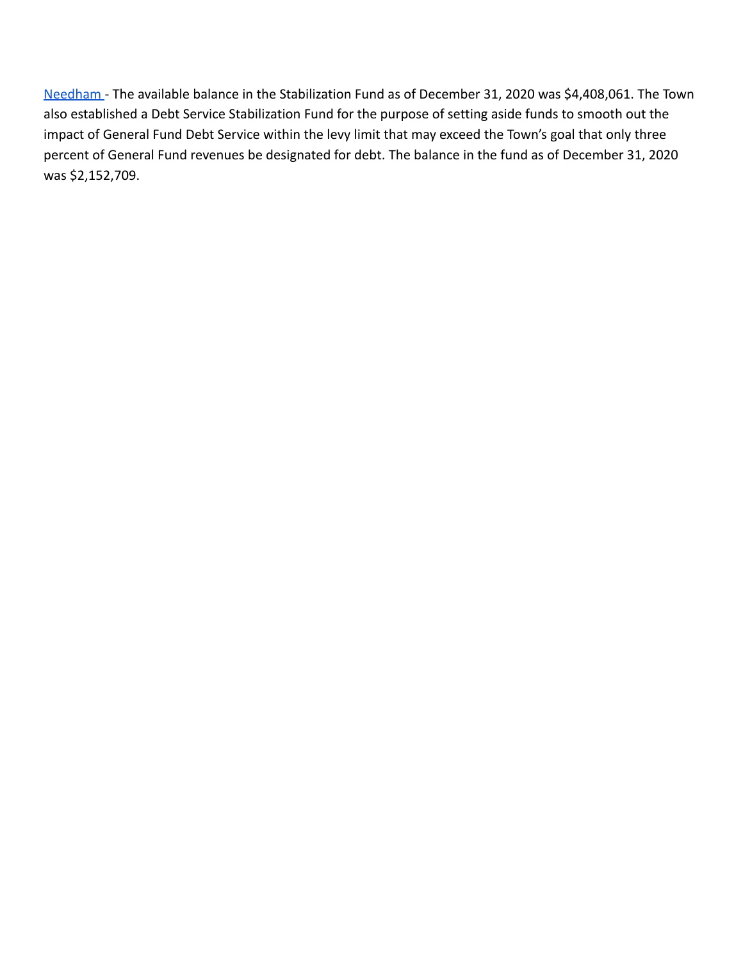[Needham](https://www.needhamma.gov/DocumentCenter/View/22831/Section-2---Revenue-Summary?bidId=) - The available balance in the Stabilization Fund as of December 31, 2020 was \$4,408,061. The Town also established a Debt Service Stabilization Fund for the purpose of setting aside funds to smooth out the impact of General Fund Debt Service within the levy limit that may exceed the Town's goal that only three percent of General Fund revenues be designated for debt. The balance in the fund as of December 31, 2020 was \$2,152,709.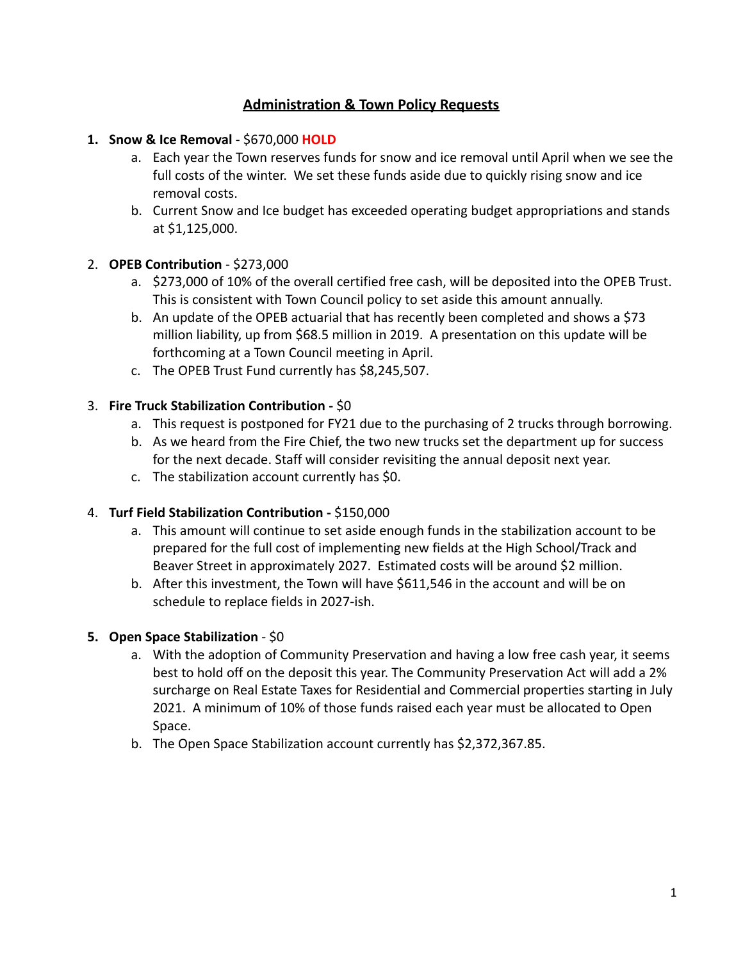# **Administration & Town Policy Requests**

#### **1. Snow & Ice Removal** - \$670,000 **HOLD**

- a. Each year the Town reserves funds for snow and ice removal until April when we see the full costs of the winter. We set these funds aside due to quickly rising snow and ice removal costs.
- b. Current Snow and Ice budget has exceeded operating budget appropriations and stands at \$1,125,000.

#### 2. **OPEB Contribution** - \$273,000

- a. \$273,000 of 10% of the overall certified free cash, will be deposited into the OPEB Trust. This is consistent with Town Council policy to set aside this amount annually.
- b. An update of the OPEB actuarial that has recently been completed and shows a \$73 million liability, up from \$68.5 million in 2019. A presentation on this update will be forthcoming at a Town Council meeting in April.
- c. The OPEB Trust Fund currently has \$8,245,507.

## 3. **Fire Truck Stabilization Contribution -** \$0

- a. This request is postponed for FY21 due to the purchasing of 2 trucks through borrowing.
- b. As we heard from the Fire Chief, the two new trucks set the department up for success for the next decade. Staff will consider revisiting the annual deposit next year.
- c. The stabilization account currently has \$0.

## 4. **Turf Field Stabilization Contribution -** \$150,000

- a. This amount will continue to set aside enough funds in the stabilization account to be prepared for the full cost of implementing new fields at the High School/Track and Beaver Street in approximately 2027. Estimated costs will be around \$2 million.
- b. After this investment, the Town will have \$611,546 in the account and will be on schedule to replace fields in 2027-ish.

## **5. Open Space Stabilization** - \$0

- a. With the adoption of Community Preservation and having a low free cash year, it seems best to hold off on the deposit this year. The Community Preservation Act will add a 2% surcharge on Real Estate Taxes for Residential and Commercial properties starting in July 2021. A minimum of 10% of those funds raised each year must be allocated to Open Space.
- b. The Open Space Stabilization account currently has \$2,372,367.85.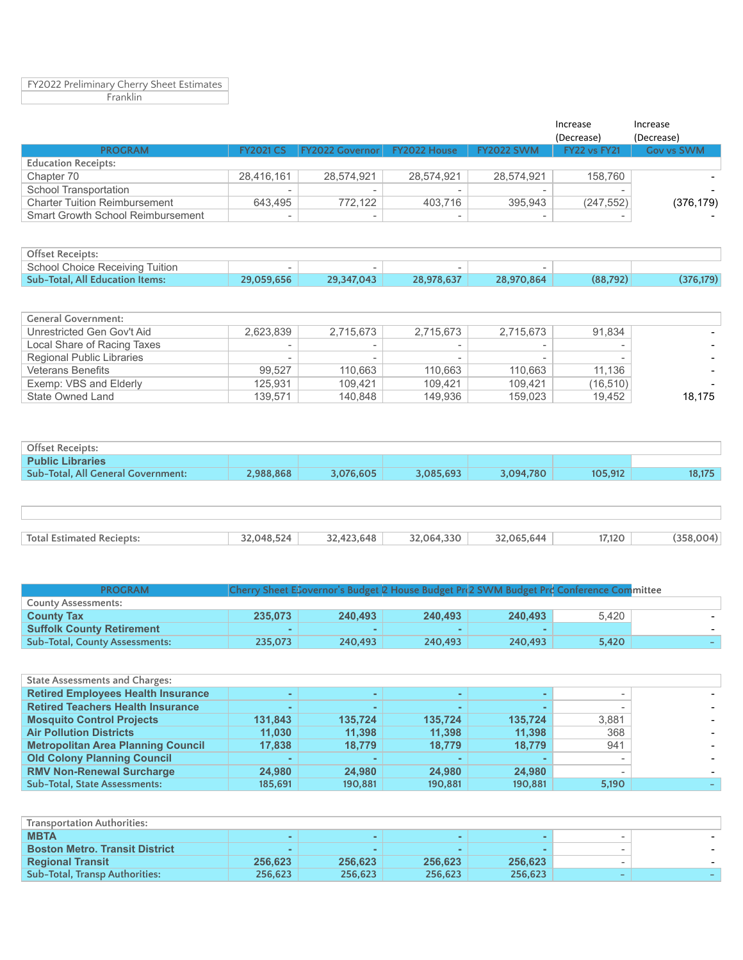FY2022 Preliminary Cherry Sheet Estimates Franklin

|                                      |                          |                                     |                          |                   | Increase     | Increase   |
|--------------------------------------|--------------------------|-------------------------------------|--------------------------|-------------------|--------------|------------|
|                                      |                          |                                     |                          |                   | (Decrease)   | (Decrease) |
| <b>PROGRAM</b>                       | <b>FY2021 CS</b>         | <b>FY2022 Governor FY2022 House</b> |                          | <b>FY2022 SWM</b> | FY22 vs FY21 | Gov vs SWM |
| <b>Education Receipts:</b>           |                          |                                     |                          |                   |              |            |
| Chapter 70                           | 28,416,161               | 28.574.921                          | 28.574.921               | 28.574.921        | 158.760      |            |
| School Transportation                | $\overline{\phantom{a}}$ |                                     |                          |                   |              |            |
| <b>Charter Tuition Reimbursement</b> | 643.495                  | 772.122                             | 403.716                  | 395.943           | (247.552)    | (376, 179) |
| Smart Growth School Reimbursement    | $\overline{\phantom{a}}$ |                                     | $\overline{\phantom{a}}$ |                   |              |            |

| <b>Offset Receipts:</b>         |            |            |            |            |          |           |
|---------------------------------|------------|------------|------------|------------|----------|-----------|
| School Choice Receiving Tuition |            |            |            |            |          |           |
| Sub-Total, All Education Items: | 29.059.656 | 29.347.043 | 28.978.637 | 28,970,864 | (88.792) | (376,179) |

| <b>General Government:</b>  |           |           |           |           |           |        |
|-----------------------------|-----------|-----------|-----------|-----------|-----------|--------|
| Unrestricted Gen Gov't Aid  | 2.623.839 | 2.715.673 | 2,715,673 | 2,715,673 | 91,834    |        |
| Local Share of Racing Taxes |           |           |           | -         | $\sim$    |        |
| Regional Public Libraries   | $\sim$    |           |           |           |           |        |
| <b>Veterans Benefits</b>    | 99.527    | 110.663   | 110.663   | 110.663   | 11.136    |        |
| Exemp: VBS and Elderly      | 125.931   | 109.421   | 109.421   | 109.421   | (16, 510) |        |
| State Owned Land            | 139.571   | 140.848   | 149.936   | 159,023   | 19.452    | 18,175 |

| Offset Receipts:                   |           |           |           |           |         |        |
|------------------------------------|-----------|-----------|-----------|-----------|---------|--------|
| <b>Public Libraries</b>            |           |           |           |           |         |        |
| Sub-Total, All General Government: | 2.988.868 | 3.076.605 | 3.085.693 | 3,094,780 | 105.912 | 18.175 |
|                                    |           |           |           |           |         |        |

| <b>Total Estimated</b><br>" Reciepts: | 6.524<br>04.8 | .648 | 1.330<br><u> እን በ64 </u> | 644<br>$\mathbf{m}$ | 7,120 |  |
|---------------------------------------|---------------|------|--------------------------|---------------------|-------|--|
|                                       |               |      |                          |                     |       |  |

| <b>PROGRAM</b>                        |                          | Cherry Sheet EGovernor's Budget 2 House Budget Prd2 SWM Budget Prd Conference Committee |         |         |       |  |
|---------------------------------------|--------------------------|-----------------------------------------------------------------------------------------|---------|---------|-------|--|
| <b>County Assessments:</b>            |                          |                                                                                         |         |         |       |  |
| <b>County Tax</b>                     | 235,073                  | 240.493                                                                                 | 240.493 | 240.493 | 5.420 |  |
| <b>Suffolk County Retirement</b>      | $\overline{\phantom{a}}$ |                                                                                         |         |         |       |  |
| <b>Sub-Total, County Assessments:</b> | 235.073                  | 240.493                                                                                 | 240,493 | 240.493 | 5.420 |  |

| <b>State Assessments and Charges:</b>     |         |         |         |         |        |  |
|-------------------------------------------|---------|---------|---------|---------|--------|--|
| <b>Retired Employees Health Insurance</b> |         |         |         |         |        |  |
| <b>Retired Teachers Health Insurance</b>  | $\sim$  |         |         |         |        |  |
| <b>Mosquito Control Projects</b>          | 131,843 | 135.724 | 135.724 | 135.724 | 3,881  |  |
| <b>Air Pollution Districts</b>            | 11,030  | 11.398  | 11.398  | 11.398  | 368    |  |
| <b>Metropolitan Area Planning Council</b> | 17.838  | 18.779  | 18.779  | 18,779  | 941    |  |
| <b>Old Colony Planning Council</b>        | $\sim$  |         |         |         | $\sim$ |  |
| <b>RMV Non-Renewal Surcharge</b>          | 24.980  | 24.980  | 24.980  | 24.980  | ۰      |  |
| <b>Sub-Total, State Assessments:</b>      | 185.691 | 190.881 | 190.881 | 190.881 | 5.190  |  |

| <b>Transportation Authorities:</b>    |         |         |         |         |        |        |
|---------------------------------------|---------|---------|---------|---------|--------|--------|
| <b>MBTA</b>                           |         |         |         |         | -      |        |
| <b>Boston Metro, Transit District</b> | $\sim$  |         |         |         | -      | $\sim$ |
| <b>Regional Transit</b>               | 256.623 | 256.623 | 256.623 | 256.623 | $\sim$ |        |
| <b>Sub-Total, Transp Authorities:</b> | 256.623 | 256.623 | 256,623 | 256,623 | $\sim$ |        |